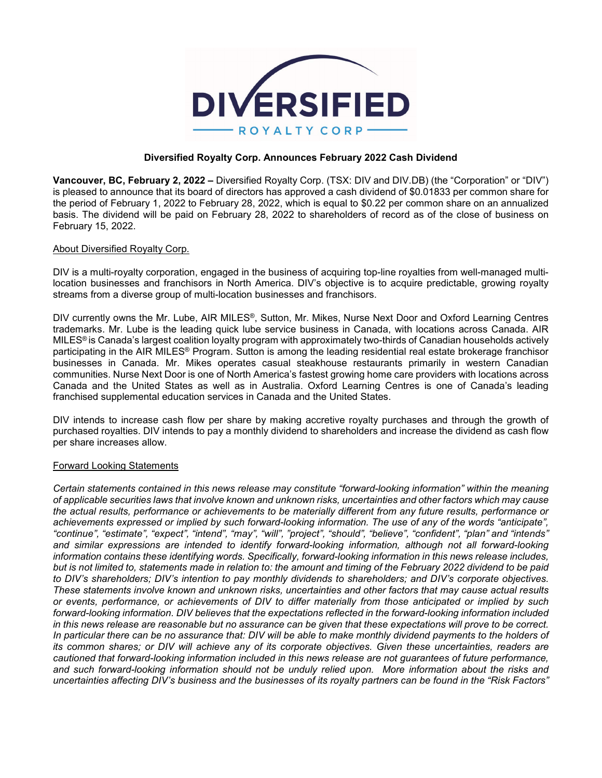

# **Diversified Royalty Corp. Announces February 2022 Cash Dividend**

**Vancouver, BC, February 2, 2022 –** Diversified Royalty Corp. (TSX: DIV and DIV.DB) (the "Corporation" or "DIV") is pleased to announce that its board of directors has approved a cash dividend of \$0.01833 per common share for the period of February 1, 2022 to February 28, 2022, which is equal to \$0.22 per common share on an annualized basis. The dividend will be paid on February 28, 2022 to shareholders of record as of the close of business on February 15, 2022.

### About Diversified Royalty Corp.

DIV is a multi-royalty corporation, engaged in the business of acquiring top-line royalties from well-managed multilocation businesses and franchisors in North America. DIV's objective is to acquire predictable, growing royalty streams from a diverse group of multi-location businesses and franchisors.

DIV currently owns the Mr. Lube, AIR MILES®, Sutton, Mr. Mikes, Nurse Next Door and Oxford Learning Centres trademarks. Mr. Lube is the leading quick lube service business in Canada, with locations across Canada. AIR MILES® is Canada's largest coalition loyalty program with approximately two-thirds of Canadian households actively participating in the AIR MILES® Program. Sutton is among the leading residential real estate brokerage franchisor businesses in Canada. Mr. Mikes operates casual steakhouse restaurants primarily in western Canadian communities. Nurse Next Door is one of North America's fastest growing home care providers with locations across Canada and the United States as well as in Australia. Oxford Learning Centres is one of Canada's leading franchised supplemental education services in Canada and the United States.

DIV intends to increase cash flow per share by making accretive royalty purchases and through the growth of purchased royalties. DIV intends to pay a monthly dividend to shareholders and increase the dividend as cash flow per share increases allow.

### Forward Looking Statements

*Certain statements contained in this news release may constitute "forward-looking information" within the meaning of applicable securities laws that involve known and unknown risks, uncertainties and other factors which may cause the actual results, performance or achievements to be materially different from any future results, performance or achievements expressed or implied by such forward-looking information. The use of any of the words "anticipate", "continue", "estimate", "expect", "intend", "may", "will", "project", "should", "believe", "confident", "plan" and "intends" and similar expressions are intended to identify forward-looking information, although not all forward-looking information contains these identifying words. Specifically, forward-looking information in this news release includes, but is not limited to, statements made in relation to: the amount and timing of the February 2022 dividend to be paid to DIV's shareholders; DIV's intention to pay monthly dividends to shareholders; and DIV's corporate objectives. These statements involve known and unknown risks, uncertainties and other factors that may cause actual results or events, performance, or achievements of DIV to differ materially from those anticipated or implied by such forward-looking information. DIV believes that the expectations reflected in the forward-looking information included in this news release are reasonable but no assurance can be given that these expectations will prove to be correct. In particular there can be no assurance that: DIV will be able to make monthly dividend payments to the holders of its common shares; or DIV will achieve any of its corporate objectives. Given these uncertainties, readers are cautioned that forward-looking information included in this news release are not guarantees of future performance, and such forward-looking information should not be unduly relied upon. More information about the risks and uncertainties affecting DIV's business and the businesses of its royalty partners can be found in the "Risk Factors"*